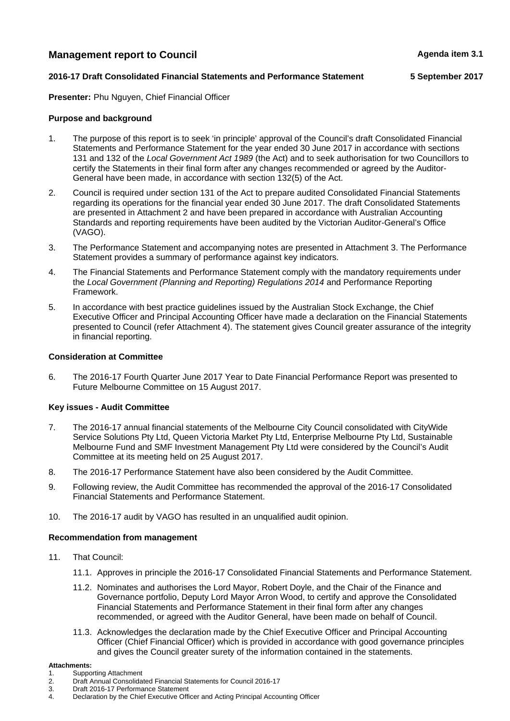## **Management report to Council Agents Agenda item 3.1 Agenda item 3.1**

#### **2016-17 Draft Consolidated Financial Statements and Performance Statement 5 September 2017**

**Presenter:** Phu Nguyen, Chief Financial Officer

#### **Purpose and background**

- 1. The purpose of this report is to seek 'in principle' approval of the Council's draft Consolidated Financial Statements and Performance Statement for the year ended 30 June 2017 in accordance with sections 131 and 132 of the *Local Government Act 1989* (the Act) and to seek authorisation for two Councillors to certify the Statements in their final form after any changes recommended or agreed by the Auditor-General have been made, in accordance with section 132(5) of the Act.
- 2. Council is required under section 131 of the Act to prepare audited Consolidated Financial Statements regarding its operations for the financial year ended 30 June 2017. The draft Consolidated Statements are presented in Attachment 2 and have been prepared in accordance with Australian Accounting Standards and reporting requirements have been audited by the Victorian Auditor-General's Office (VAGO).
- 3. The Performance Statement and accompanying notes are presented in Attachment 3. The Performance Statement provides a summary of performance against key indicators.
- 4. The Financial Statements and Performance Statement comply with the mandatory requirements under the *Local Government (Planning and Reporting) Regulations 2014* and Performance Reporting Framework.
- 5. In accordance with best practice guidelines issued by the Australian Stock Exchange, the Chief Executive Officer and Principal Accounting Officer have made a declaration on the Financial Statements presented to Council (refer Attachment 4). The statement gives Council greater assurance of the integrity in financial reporting.

#### **Consideration at Committee**

6. The 2016-17 Fourth Quarter June 2017 Year to Date Financial Performance Report was presented to Future Melbourne Committee on 15 August 2017.

#### **Key issues - Audit Committee**

- 7. The 2016-17 annual financial statements of the Melbourne City Council consolidated with CityWide Service Solutions Pty Ltd, Queen Victoria Market Pty Ltd, Enterprise Melbourne Pty Ltd, Sustainable Melbourne Fund and SMF Investment Management Pty Ltd were considered by the Council's Audit Committee at its meeting held on 25 August 2017.
- 8. The 2016-17 Performance Statement have also been considered by the Audit Committee.
- 9. Following review, the Audit Committee has recommended the approval of the 2016-17 Consolidated Financial Statements and Performance Statement.
- 10. The 2016-17 audit by VAGO has resulted in an unqualified audit opinion.

#### **Recommendation from management**

- 11. That Council:
	- 11.1. Approves in principle the 2016-17 Consolidated Financial Statements and Performance Statement.
	- 11.2. Nominates and authorises the Lord Mayor, Robert Doyle, and the Chair of the Finance and Governance portfolio, Deputy Lord Mayor Arron Wood, to certify and approve the Consolidated Financial Statements and Performance Statement in their final form after any changes recommended, or agreed with the Auditor General, have been made on behalf of Council.
	- 11.3. Acknowledges the declaration made by the Chief Executive Officer and Principal Accounting Officer (Chief Financial Officer) which is provided in accordance with good governance principles and gives the Council greater surety of the information contained in the statements.

#### **Attachments:**

- 1. Supporting Attachment
- 2. Draft Annual Consolidated Financial Statements for Council 2016-17
- 3. Draft 2016-17 Performance Statement<br>4. Declaration by the Chief Executive Office
- Declaration by the Chief Executive Officer and Acting Principal Accounting Officer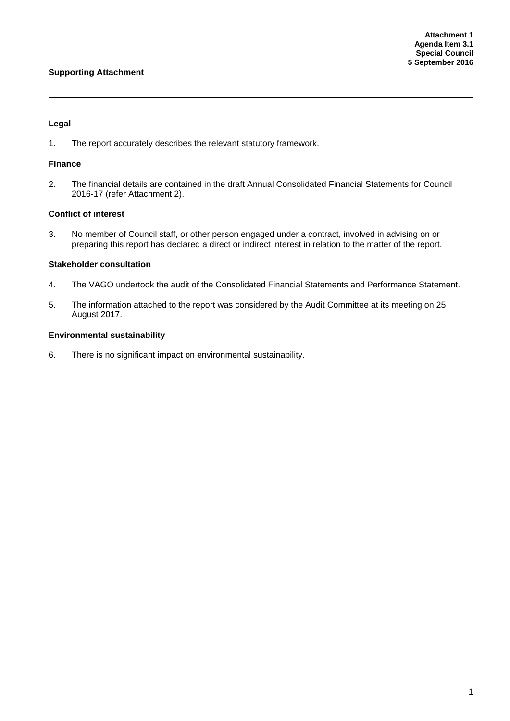#### **Supporting Attachment**

#### **Legal**

1. The report accurately describes the relevant statutory framework.

#### **Finance**

2. The financial details are contained in the draft Annual Consolidated Financial Statements for Council 2016-17 (refer Attachment 2).

#### **Conflict of interest**

3. No member of Council staff, or other person engaged under a contract, involved in advising on or preparing this report has declared a direct or indirect interest in relation to the matter of the report.

#### **Stakeholder consultation**

- 4. The VAGO undertook the audit of the Consolidated Financial Statements and Performance Statement.
- 5. The information attached to the report was considered by the Audit Committee at its meeting on 25 August 2017.

#### **Environmental sustainability**

6. There is no significant impact on environmental sustainability.